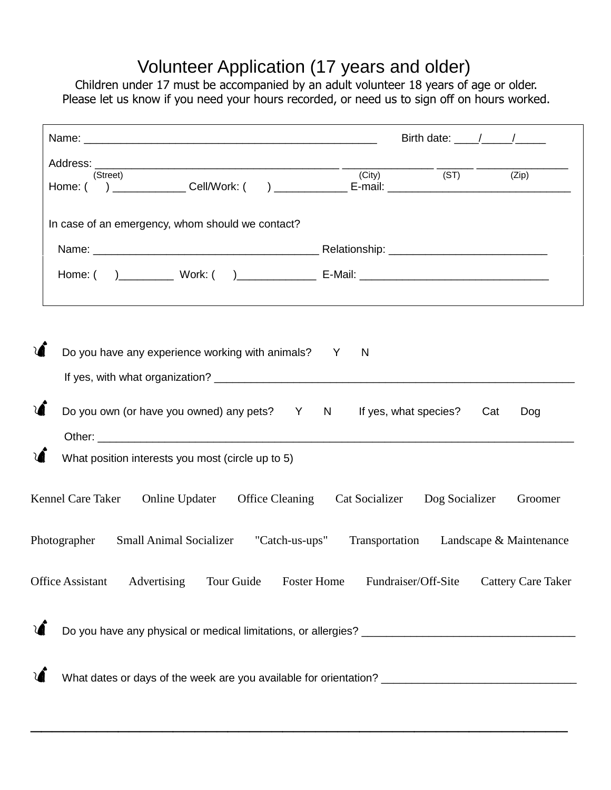## Volunteer Application (17 years and older)

Children under 17 must be accompanied by an adult volunteer 18 years of age or older. Please let us know if you need your hours recorded, or need us to sign off on hours worked.

|            |                                                                                            | Birth date: $\frac{1}{\sqrt{1-\frac{1}{2}}}\frac{1}{\sqrt{1-\frac{1}{2}}}\frac{1}{\sqrt{1-\frac{1}{2}}}\frac{1}{\sqrt{1-\frac{1}{2}}}\frac{1}{\sqrt{1-\frac{1}{2}}}\frac{1}{\sqrt{1-\frac{1}{2}}}\frac{1}{\sqrt{1-\frac{1}{2}}}\frac{1}{\sqrt{1-\frac{1}{2}}}\frac{1}{\sqrt{1-\frac{1}{2}}}\frac{1}{\sqrt{1-\frac{1}{2}}}\frac{1}{\sqrt{1-\frac{1}{2}}}\frac{1}{\sqrt{1-\frac{1}{2}}}\frac{1}{\sqrt{1-\frac{1}{2}}$ |                           |
|------------|--------------------------------------------------------------------------------------------|---------------------------------------------------------------------------------------------------------------------------------------------------------------------------------------------------------------------------------------------------------------------------------------------------------------------------------------------------------------------------------------------------------------------|---------------------------|
|            | (Street)                                                                                   | $(City)$ (ST)                                                                                                                                                                                                                                                                                                                                                                                                       | (Zip)                     |
|            | In case of an emergency, whom should we contact?                                           |                                                                                                                                                                                                                                                                                                                                                                                                                     |                           |
|            |                                                                                            |                                                                                                                                                                                                                                                                                                                                                                                                                     |                           |
|            |                                                                                            |                                                                                                                                                                                                                                                                                                                                                                                                                     |                           |
|            | Do you have any experience working with animals? Y<br>N                                    |                                                                                                                                                                                                                                                                                                                                                                                                                     |                           |
|            | Do you own (or have you owned) any pets? Y N If yes, what species? Cat                     |                                                                                                                                                                                                                                                                                                                                                                                                                     | Dog                       |
|            |                                                                                            |                                                                                                                                                                                                                                                                                                                                                                                                                     |                           |
|            | What position interests you most (circle up to 5)                                          |                                                                                                                                                                                                                                                                                                                                                                                                                     |                           |
|            | Kennel Care Taker Online Updater Office Cleaning Cat Socializer Dog Socializer             |                                                                                                                                                                                                                                                                                                                                                                                                                     | Groomer                   |
|            | Photographer Small Animal Socializer "Catch-us-ups" Transportation Landscape & Maintenance |                                                                                                                                                                                                                                                                                                                                                                                                                     |                           |
|            | Office Assistant<br>Advertising<br>Tour Guide<br><b>Foster Home</b>                        | Fundraiser/Off-Site                                                                                                                                                                                                                                                                                                                                                                                                 | <b>Cattery Care Taker</b> |
| $\sqrt{2}$ |                                                                                            |                                                                                                                                                                                                                                                                                                                                                                                                                     |                           |
|            |                                                                                            |                                                                                                                                                                                                                                                                                                                                                                                                                     |                           |

\_\_\_\_\_\_\_\_\_\_\_\_\_\_\_\_\_\_\_\_\_\_\_\_\_\_\_\_\_\_\_\_\_\_\_\_\_\_\_\_\_\_\_\_\_\_\_\_\_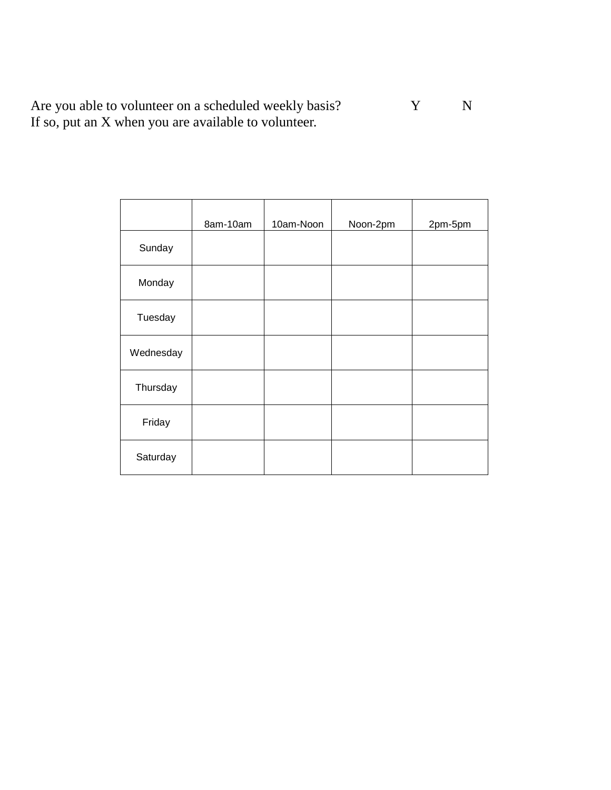Are you able to volunteer on a scheduled weekly basis? Y N If so, put an X when you are available to volunteer.

|           | 8am-10am | 10am-Noon | Noon-2pm | 2pm-5pm |
|-----------|----------|-----------|----------|---------|
| Sunday    |          |           |          |         |
| Monday    |          |           |          |         |
| Tuesday   |          |           |          |         |
| Wednesday |          |           |          |         |
| Thursday  |          |           |          |         |
| Friday    |          |           |          |         |
| Saturday  |          |           |          |         |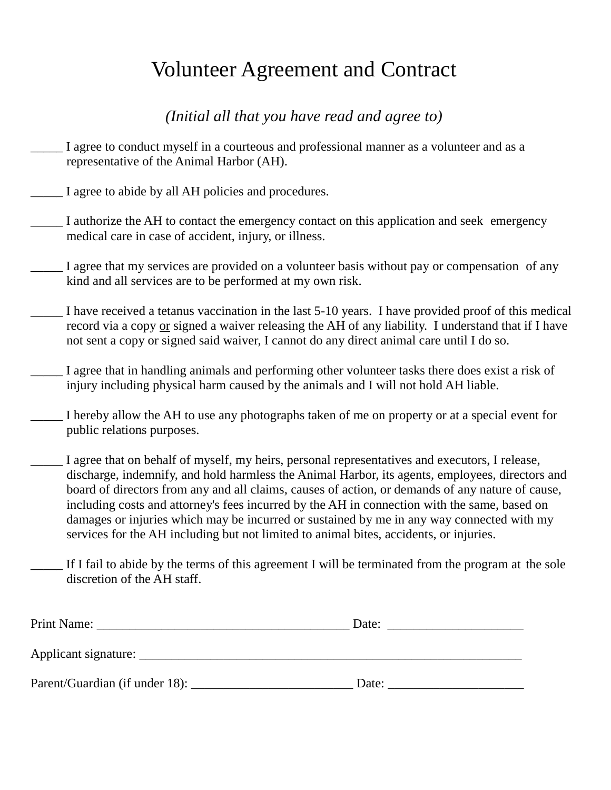## Volunteer Agreement and Contract

*(Initial all that you have read and agree to)*

- I agree to conduct myself in a courteous and professional manner as a volunteer and as a representative of the Animal Harbor (AH).
- \_\_\_\_\_ I agree to abide by all AH policies and procedures.
- \_\_\_\_\_ I authorize the AH to contact the emergency contact on this application and seek emergency medical care in case of accident, injury, or illness.
- \_\_\_\_\_ I agree that my services are provided on a volunteer basis without pay or compensation of any kind and all services are to be performed at my own risk.
- \_\_\_\_\_ I have received a tetanus vaccination in the last 5-10 years. I have provided proof of this medical record via a copy or signed a waiver releasing the AH of any liability. I understand that if I have not sent a copy or signed said waiver, I cannot do any direct animal care until I do so.
- I agree that in handling animals and performing other volunteer tasks there does exist a risk of injury including physical harm caused by the animals and I will not hold AH liable.
- I hereby allow the AH to use any photographs taken of me on property or at a special event for public relations purposes.
- I agree that on behalf of myself, my heirs, personal representatives and executors, I release, discharge, indemnify, and hold harmless the Animal Harbor, its agents, employees, directors and board of directors from any and all claims, causes of action, or demands of any nature of cause, including costs and attorney's fees incurred by the AH in connection with the same, based on damages or injuries which may be incurred or sustained by me in any way connected with my services for the AH including but not limited to animal bites, accidents, or injuries.
- If I fail to abide by the terms of this agreement I will be terminated from the program at the sole discretion of the AH staff.

| Print Name:                    | Date: |  |  |
|--------------------------------|-------|--|--|
| Applicant signature:           |       |  |  |
| Parent/Guardian (if under 18): | Date: |  |  |